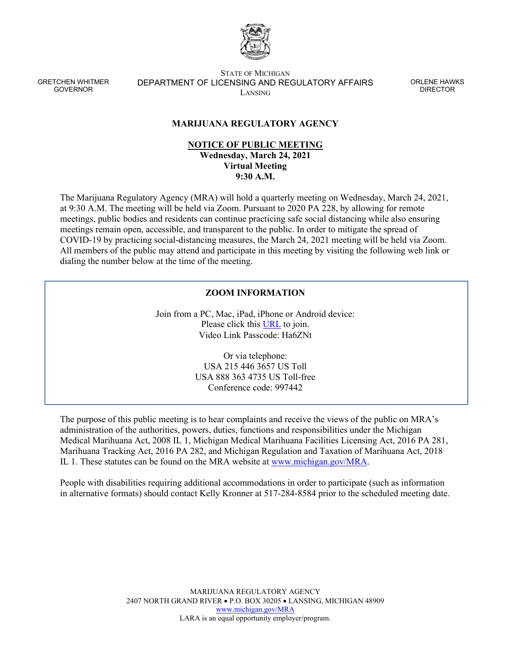

GRETCHEN WHITMER GOVERNOR

STATE OF MICHIGAN DEPARTMENT OF LICENSING AND REGULATORY AFFAIRS LANSING

ORLENE HAWKS **DIRECTOR** 

## **MARIJUANA REGULATORY AGENCY**

## **NOTICE OF PUBLIC MEETING Wednesday, March 24, 2021 Virtual Meeting 9:30 A.M.**

The Marijuana Regulatory Agency (MRA) will hold a quarterly meeting on Wednesday, March 24, 2021, at 9:30 A.M. The meeting will be held via Zoom. Pursuant to 2020 PA 228, by allowing for remote meetings, public bodies and residents can continue practicing safe social distancing while also ensuring meetings remain open, accessible, and transparent to the public. In order to mitigate the spread of COVID-19 by practicing social-distancing measures, the March 24, 2021 meeting will be held via Zoom. All members of the public may attend and participate in this meeting by visiting the following web link or dialing the number below at the time of the meeting.

## **ZOOM INFORMATION**

Join from a PC, Mac, iPad, iPhone or Android device: Please click this [URL](https://us02web.zoom.us/s/85313978464?pwd=MEJEckgrVmNMdllpZFBlKzlweEhKZz09) to join. Video Link Passcode: Ha6ZNt

> Or via telephone: USA 215 446 3657 US Toll USA 888 363 4735 US Toll-free Conference code: 997442

The purpose of this public meeting is to hear complaints and receive the views of the public on MRA's administration of the authorities, powers, duties, functions and responsibilities under the Michigan Medical Marihuana Act, 2008 IL 1, Michigan Medical Marihuana Facilities Licensing Act, 2016 PA 281, Marihuana Tracking Act, 2016 PA 282, and Michigan Regulation and Taxation of Marihuana Act, 2018 IL 1. These statutes can be found on the MRA website at [www.michigan.gov/MRA.](http://www.michigan.gov/MRA)

People with disabilities requiring additional accommodations in order to participate (such as information in alternative formats) should contact Kelly Kronner at 517-284-8584 prior to the scheduled meeting date.

> MARIJUANA REGULATORY AGENCY 2407 NORTH GRAND RIVER • P.O. BOX 30205 • LANSING, MICHIGAN 48909 [www.michigan.gov/MRA](http://www.michigan.gov/MRA) LARA is an equal opportunity employer/program.